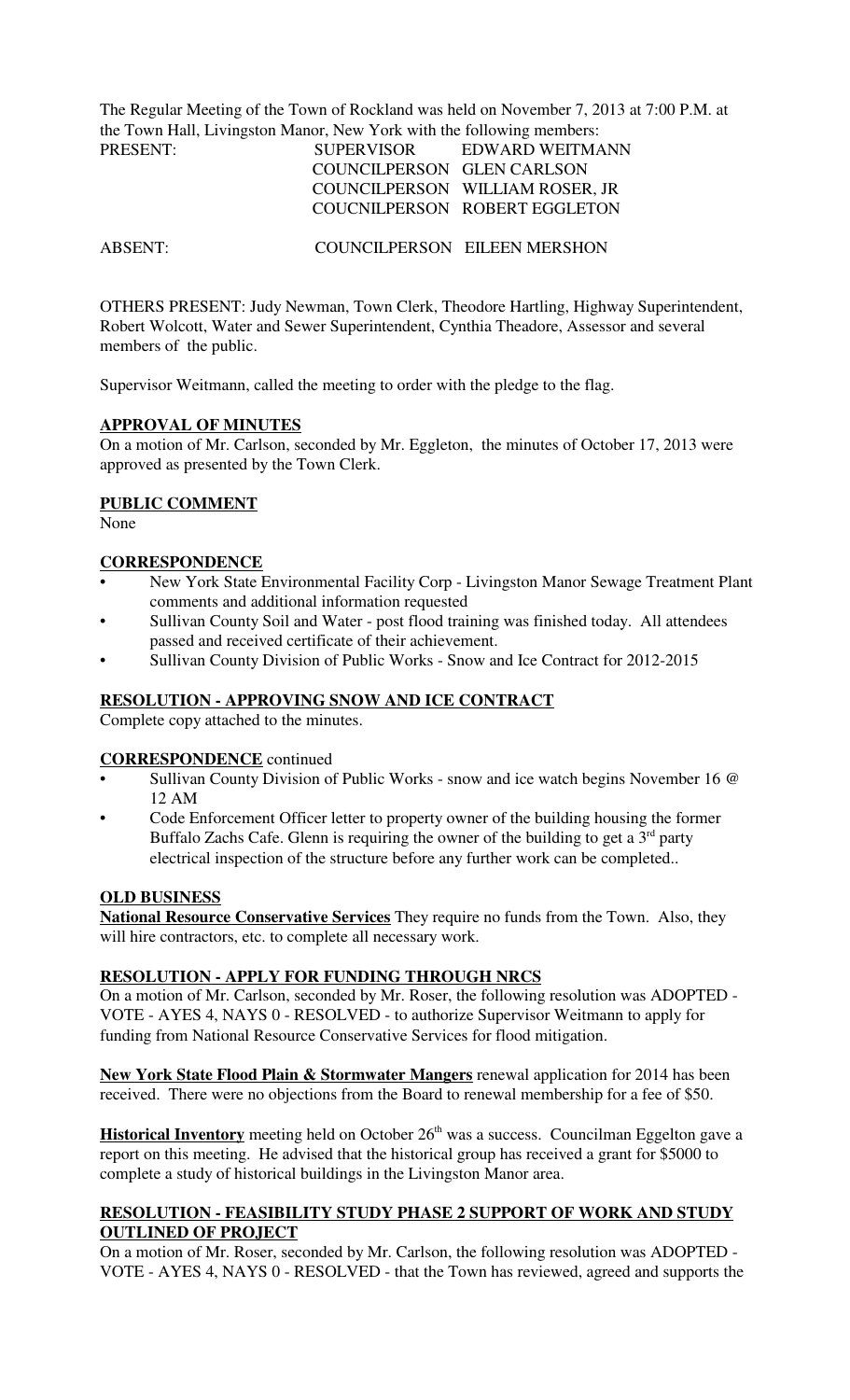The Regular Meeting of the Town of Rockland was held on November 7, 2013 at 7:00 P.M. at the Town Hall, Livingston Manor, New York with the following members:

| PRESENT: | <b>SUPERVISOR</b>          | EDWARD WEITMANN                 |
|----------|----------------------------|---------------------------------|
|          | COUNCILPERSON GLEN CARLSON |                                 |
|          |                            | COUNCILPERSON WILLIAM ROSER, JR |
|          |                            | COUCNILPERSON ROBERT EGGLETON   |

ABSENT: COUNCILPERSON EILEEN MERSHON

OTHERS PRESENT: Judy Newman, Town Clerk, Theodore Hartling, Highway Superintendent, Robert Wolcott, Water and Sewer Superintendent, Cynthia Theadore, Assessor and several members of the public.

Supervisor Weitmann, called the meeting to order with the pledge to the flag.

#### **APPROVAL OF MINUTES**

On a motion of Mr. Carlson, seconded by Mr. Eggleton, the minutes of October 17, 2013 were approved as presented by the Town Clerk.

### **PUBLIC COMMENT**

None

#### **CORRESPONDENCE**

- New York State Environmental Facility Corp Livingston Manor Sewage Treatment Plant comments and additional information requested
- Sullivan County Soil and Water post flood training was finished today. All attendees passed and received certificate of their achievement.
- Sullivan County Division of Public Works Snow and Ice Contract for 2012-2015

### **RESOLUTION - APPROVING SNOW AND ICE CONTRACT**

Complete copy attached to the minutes.

#### **CORRESPONDENCE** continued

- Sullivan County Division of Public Works snow and ice watch begins November 16 @ 12 AM
- Code Enforcement Officer letter to property owner of the building housing the former Buffalo Zachs Cafe. Glenn is requiring the owner of the building to get a  $3<sup>rd</sup>$  party electrical inspection of the structure before any further work can be completed..

#### **OLD BUSINESS**

**National Resource Conservative Services** They require no funds from the Town. Also, they will hire contractors, etc. to complete all necessary work.

## **RESOLUTION - APPLY FOR FUNDING THROUGH NRCS**

On a motion of Mr. Carlson, seconded by Mr. Roser, the following resolution was ADOPTED - VOTE - AYES 4, NAYS 0 - RESOLVED - to authorize Supervisor Weitmann to apply for funding from National Resource Conservative Services for flood mitigation.

**New York State Flood Plain & Stormwater Mangers** renewal application for 2014 has been received. There were no objections from the Board to renewal membership for a fee of \$50.

**Historical Inventory** meeting held on October 26<sup>th</sup> was a success. Councilman Eggelton gave a report on this meeting. He advised that the historical group has received a grant for \$5000 to complete a study of historical buildings in the Livingston Manor area.

### **RESOLUTION - FEASIBILITY STUDY PHASE 2 SUPPORT OF WORK AND STUDY OUTLINED OF PROJECT**

On a motion of Mr. Roser, seconded by Mr. Carlson, the following resolution was ADOPTED - VOTE - AYES 4, NAYS 0 - RESOLVED - that the Town has reviewed, agreed and supports the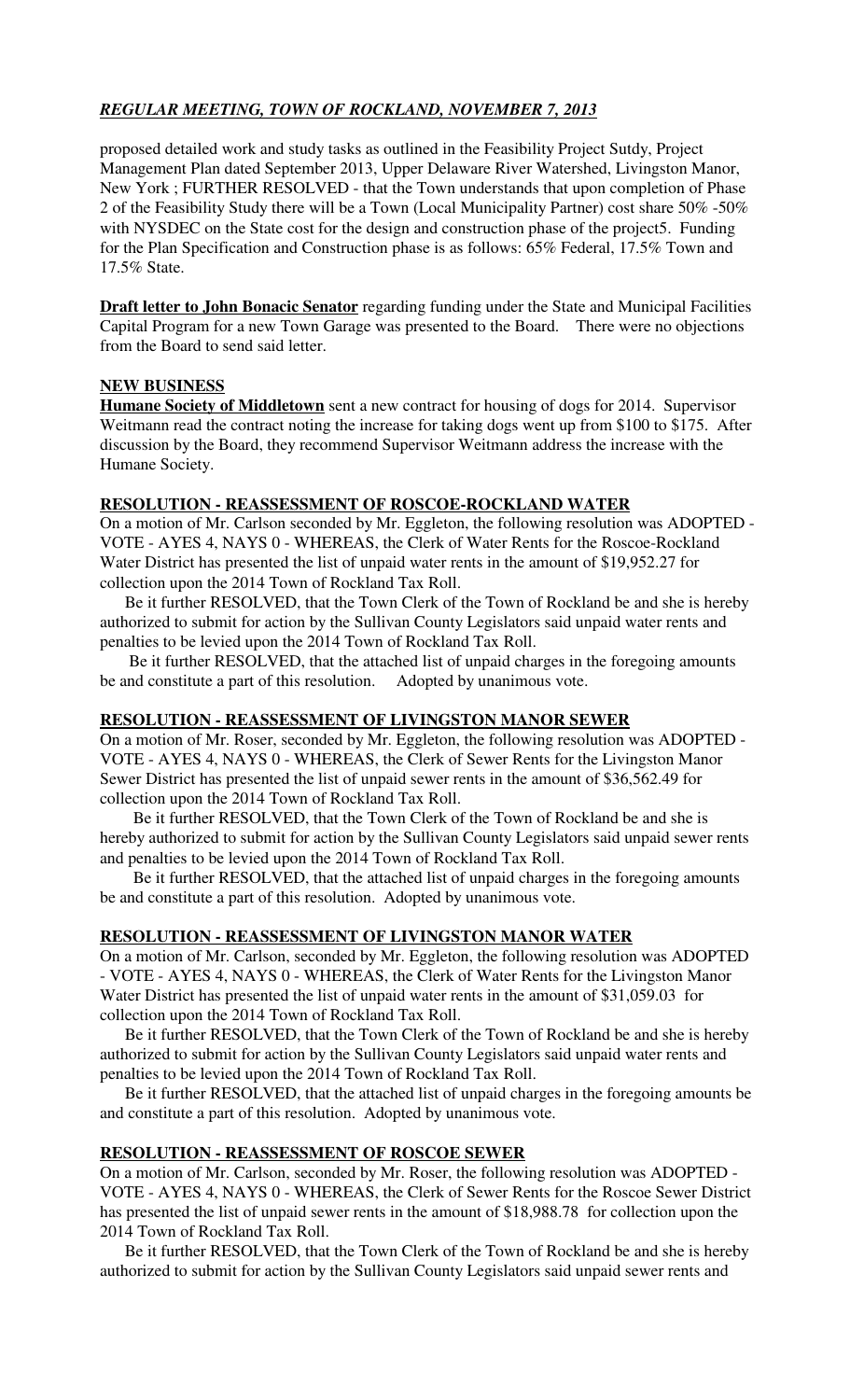# *REGULAR MEETING, TOWN OF ROCKLAND, NOVEMBER 7, 2013*

proposed detailed work and study tasks as outlined in the Feasibility Project Sutdy, Project Management Plan dated September 2013, Upper Delaware River Watershed, Livingston Manor, New York ; FURTHER RESOLVED - that the Town understands that upon completion of Phase 2 of the Feasibility Study there will be a Town (Local Municipality Partner) cost share 50% -50% with NYSDEC on the State cost for the design and construction phase of the project5. Funding for the Plan Specification and Construction phase is as follows: 65% Federal, 17.5% Town and 17.5% State.

**Draft letter to John Bonacic Senator** regarding funding under the State and Municipal Facilities Capital Program for a new Town Garage was presented to the Board. There were no objections from the Board to send said letter.

### **NEW BUSINESS**

**Humane Society of Middletown** sent a new contract for housing of dogs for 2014. Supervisor Weitmann read the contract noting the increase for taking dogs went up from \$100 to \$175. After discussion by the Board, they recommend Supervisor Weitmann address the increase with the Humane Society.

### **RESOLUTION - REASSESSMENT OF ROSCOE-ROCKLAND WATER**

On a motion of Mr. Carlson seconded by Mr. Eggleton, the following resolution was ADOPTED - VOTE - AYES 4, NAYS 0 - WHEREAS, the Clerk of Water Rents for the Roscoe-Rockland Water District has presented the list of unpaid water rents in the amount of \$19,952.27 for collection upon the 2014 Town of Rockland Tax Roll.

 Be it further RESOLVED, that the Town Clerk of the Town of Rockland be and she is hereby authorized to submit for action by the Sullivan County Legislators said unpaid water rents and penalties to be levied upon the 2014 Town of Rockland Tax Roll.

 Be it further RESOLVED, that the attached list of unpaid charges in the foregoing amounts be and constitute a part of this resolution. Adopted by unanimous vote.

### **RESOLUTION - REASSESSMENT OF LIVINGSTON MANOR SEWER**

On a motion of Mr. Roser, seconded by Mr. Eggleton, the following resolution was ADOPTED - VOTE - AYES 4, NAYS 0 - WHEREAS, the Clerk of Sewer Rents for the Livingston Manor Sewer District has presented the list of unpaid sewer rents in the amount of \$36,562.49 for collection upon the 2014 Town of Rockland Tax Roll.

 Be it further RESOLVED, that the Town Clerk of the Town of Rockland be and she is hereby authorized to submit for action by the Sullivan County Legislators said unpaid sewer rents and penalties to be levied upon the 2014 Town of Rockland Tax Roll.

 Be it further RESOLVED, that the attached list of unpaid charges in the foregoing amounts be and constitute a part of this resolution. Adopted by unanimous vote.

### **RESOLUTION - REASSESSMENT OF LIVINGSTON MANOR WATER**

On a motion of Mr. Carlson, seconded by Mr. Eggleton, the following resolution was ADOPTED - VOTE - AYES 4, NAYS 0 - WHEREAS, the Clerk of Water Rents for the Livingston Manor Water District has presented the list of unpaid water rents in the amount of \$31,059.03 for collection upon the 2014 Town of Rockland Tax Roll.

 Be it further RESOLVED, that the Town Clerk of the Town of Rockland be and she is hereby authorized to submit for action by the Sullivan County Legislators said unpaid water rents and penalties to be levied upon the 2014 Town of Rockland Tax Roll.

 Be it further RESOLVED, that the attached list of unpaid charges in the foregoing amounts be and constitute a part of this resolution. Adopted by unanimous vote.

### **RESOLUTION - REASSESSMENT OF ROSCOE SEWER**

On a motion of Mr. Carlson, seconded by Mr. Roser, the following resolution was ADOPTED - VOTE - AYES 4, NAYS 0 - WHEREAS, the Clerk of Sewer Rents for the Roscoe Sewer District has presented the list of unpaid sewer rents in the amount of \$18,988.78 for collection upon the 2014 Town of Rockland Tax Roll.

 Be it further RESOLVED, that the Town Clerk of the Town of Rockland be and she is hereby authorized to submit for action by the Sullivan County Legislators said unpaid sewer rents and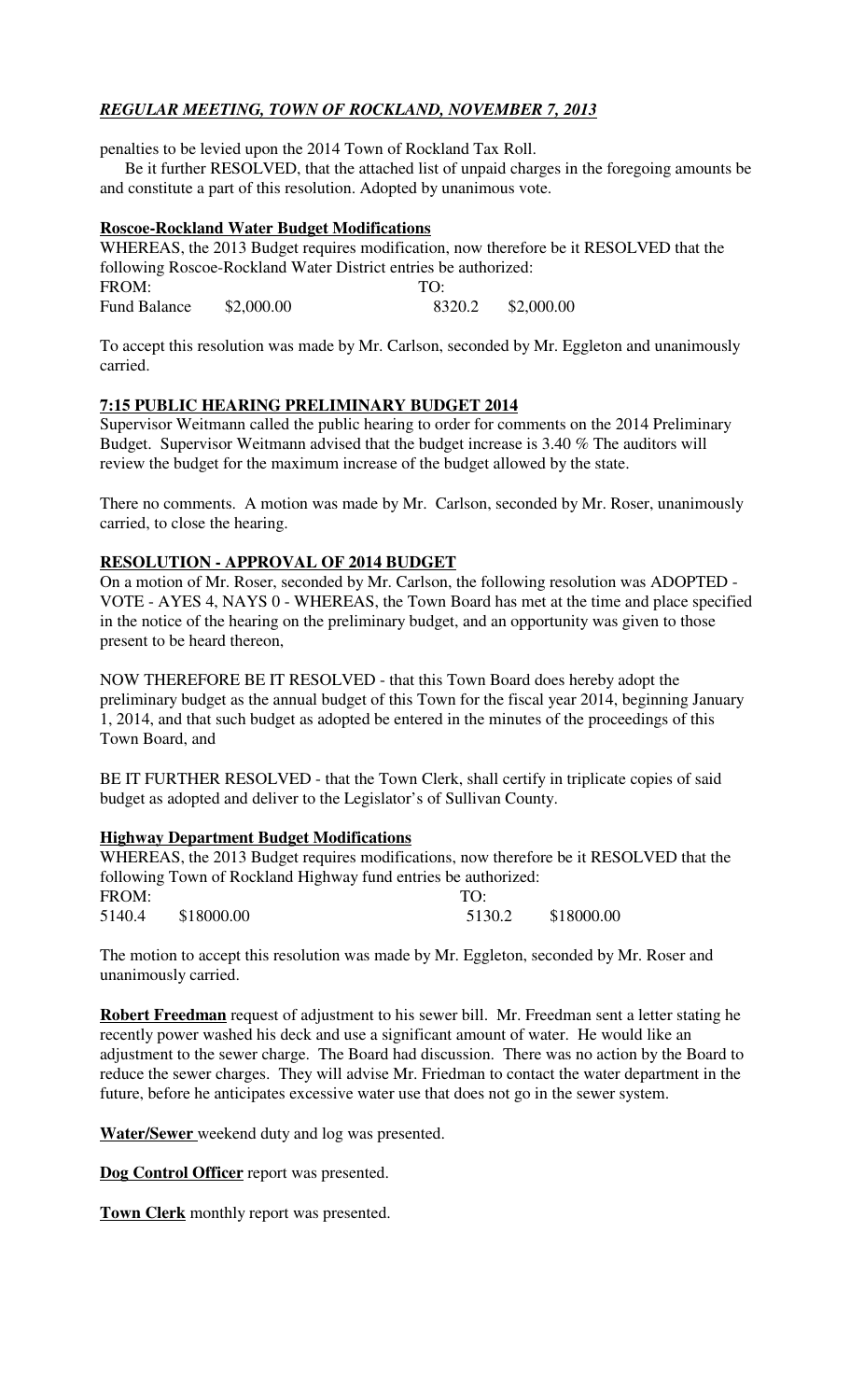# *REGULAR MEETING, TOWN OF ROCKLAND, NOVEMBER 7, 2013*

penalties to be levied upon the 2014 Town of Rockland Tax Roll.

 Be it further RESOLVED, that the attached list of unpaid charges in the foregoing amounts be and constitute a part of this resolution. Adopted by unanimous vote.

### **Roscoe-Rockland Water Budget Modifications**

WHEREAS, the 2013 Budget requires modification, now therefore be it RESOLVED that the following Roscoe-Rockland Water District entries be authorized: FROM: TO: Fund Balance \$2,000.00 8320.2 \$2,000.00

To accept this resolution was made by Mr. Carlson, seconded by Mr. Eggleton and unanimously carried.

### **7:15 PUBLIC HEARING PRELIMINARY BUDGET 2014**

Supervisor Weitmann called the public hearing to order for comments on the 2014 Preliminary Budget. Supervisor Weitmann advised that the budget increase is 3.40 % The auditors will review the budget for the maximum increase of the budget allowed by the state.

There no comments. A motion was made by Mr. Carlson, seconded by Mr. Roser, unanimously carried, to close the hearing.

### **RESOLUTION - APPROVAL OF 2014 BUDGET**

On a motion of Mr. Roser, seconded by Mr. Carlson, the following resolution was ADOPTED - VOTE - AYES 4, NAYS 0 - WHEREAS, the Town Board has met at the time and place specified in the notice of the hearing on the preliminary budget, and an opportunity was given to those present to be heard thereon,

NOW THEREFORE BE IT RESOLVED - that this Town Board does hereby adopt the preliminary budget as the annual budget of this Town for the fiscal year 2014, beginning January 1, 2014, and that such budget as adopted be entered in the minutes of the proceedings of this Town Board, and

BE IT FURTHER RESOLVED - that the Town Clerk, shall certify in triplicate copies of said budget as adopted and deliver to the Legislator's of Sullivan County.

### **Highway Department Budget Modifications**

WHEREAS, the 2013 Budget requires modifications, now therefore be it RESOLVED that the following Town of Rockland Highway fund entries be authorized: FROM: TO: 5140.4 \$18000.00 5130.2 \$18000.00

The motion to accept this resolution was made by Mr. Eggleton, seconded by Mr. Roser and unanimously carried.

**Robert Freedman** request of adjustment to his sewer bill. Mr. Freedman sent a letter stating he recently power washed his deck and use a significant amount of water. He would like an adjustment to the sewer charge. The Board had discussion. There was no action by the Board to reduce the sewer charges. They will advise Mr. Friedman to contact the water department in the future, before he anticipates excessive water use that does not go in the sewer system.

**Water/Sewer** weekend duty and log was presented.

**Dog Control Officer** report was presented.

**Town Clerk** monthly report was presented.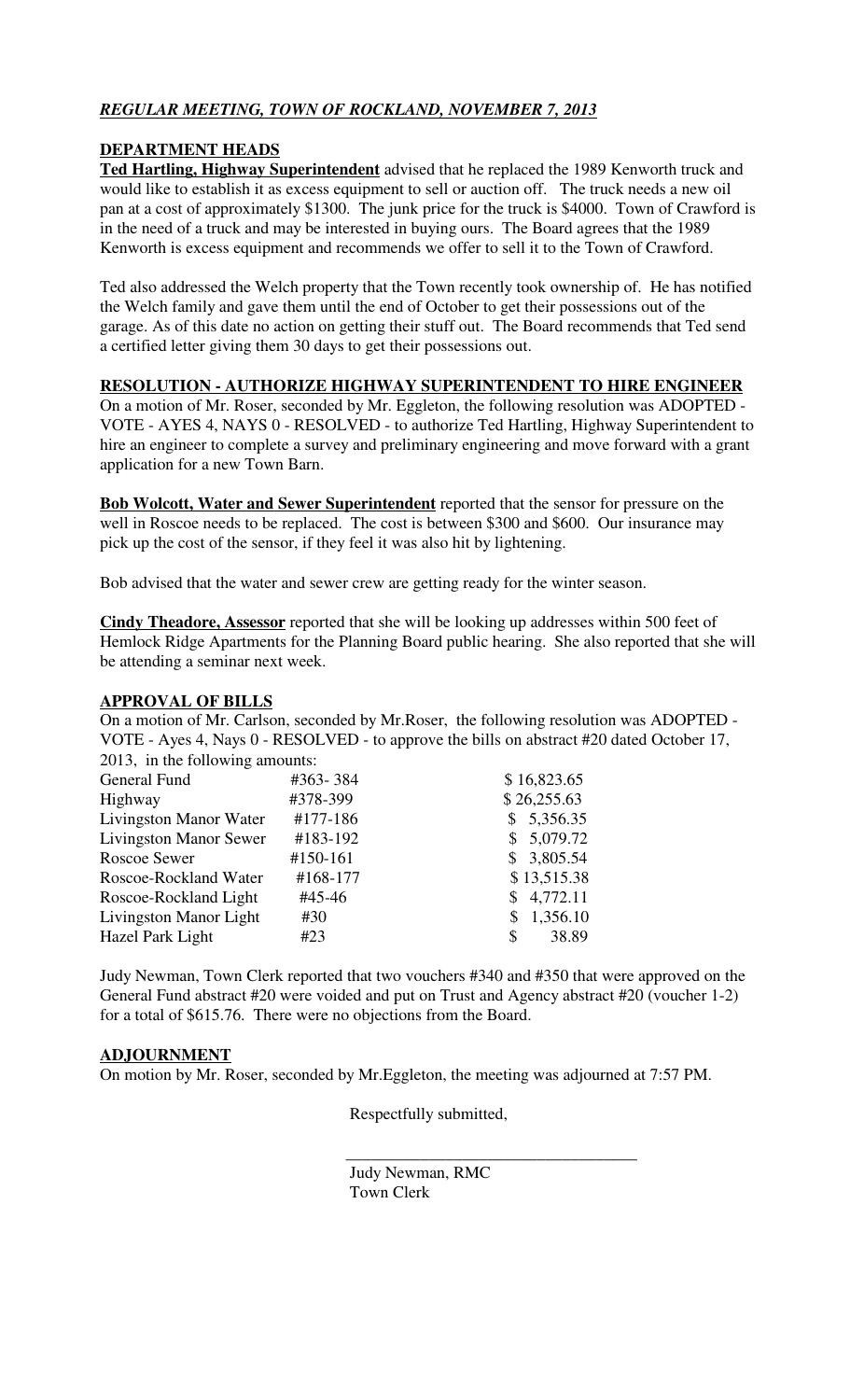# *REGULAR MEETING, TOWN OF ROCKLAND, NOVEMBER 7, 2013*

### **DEPARTMENT HEADS**

**Ted Hartling, Highway Superintendent** advised that he replaced the 1989 Kenworth truck and would like to establish it as excess equipment to sell or auction off. The truck needs a new oil pan at a cost of approximately \$1300. The junk price for the truck is \$4000. Town of Crawford is in the need of a truck and may be interested in buying ours. The Board agrees that the 1989 Kenworth is excess equipment and recommends we offer to sell it to the Town of Crawford.

Ted also addressed the Welch property that the Town recently took ownership of. He has notified the Welch family and gave them until the end of October to get their possessions out of the garage. As of this date no action on getting their stuff out. The Board recommends that Ted send a certified letter giving them 30 days to get their possessions out.

### **RESOLUTION - AUTHORIZE HIGHWAY SUPERINTENDENT TO HIRE ENGINEER**

On a motion of Mr. Roser, seconded by Mr. Eggleton, the following resolution was ADOPTED - VOTE - AYES 4, NAYS 0 - RESOLVED - to authorize Ted Hartling, Highway Superintendent to hire an engineer to complete a survey and preliminary engineering and move forward with a grant application for a new Town Barn.

**Bob Wolcott, Water and Sewer Superintendent** reported that the sensor for pressure on the well in Roscoe needs to be replaced. The cost is between \$300 and \$600. Our insurance may pick up the cost of the sensor, if they feel it was also hit by lightening.

Bob advised that the water and sewer crew are getting ready for the winter season.

**Cindy Theadore, Assessor** reported that she will be looking up addresses within 500 feet of Hemlock Ridge Apartments for the Planning Board public hearing. She also reported that she will be attending a seminar next week.

### **APPROVAL OF BILLS**

On a motion of Mr. Carlson, seconded by Mr.Roser, the following resolution was ADOPTED - VOTE - Ayes 4, Nays 0 - RESOLVED - to approve the bills on abstract #20 dated October 17, 2013, in the following amounts:

| General Fund<br>#363-384                  | \$16,823.65 |
|-------------------------------------------|-------------|
| #378-399<br>Highway                       | \$26,255.63 |
| Livingston Manor Water<br>#177-186        | \$5,356.35  |
| <b>Livingston Manor Sewer</b><br>#183-192 | \$5,079.72  |
| #150-161<br>Roscoe Sewer                  | \$3,805.54  |
| #168-177<br>Roscoe-Rockland Water         | \$13,515.38 |
| Roscoe-Rockland Light<br>#45-46           | \$4,772.11  |
| Livingston Manor Light<br>#30             | \$1,356.10  |
| Hazel Park Light<br>#23<br>S.             | 38.89       |

Judy Newman, Town Clerk reported that two vouchers #340 and #350 that were approved on the General Fund abstract #20 were voided and put on Trust and Agency abstract #20 (voucher 1-2) for a total of \$615.76. There were no objections from the Board.

## **ADJOURNMENT**

On motion by Mr. Roser, seconded by Mr.Eggleton, the meeting was adjourned at 7:57 PM.

 $\frac{1}{\sqrt{2}}$  ,  $\frac{1}{\sqrt{2}}$  ,  $\frac{1}{\sqrt{2}}$  ,  $\frac{1}{\sqrt{2}}$  ,  $\frac{1}{\sqrt{2}}$  ,  $\frac{1}{\sqrt{2}}$  ,  $\frac{1}{\sqrt{2}}$  ,  $\frac{1}{\sqrt{2}}$  ,  $\frac{1}{\sqrt{2}}$  ,  $\frac{1}{\sqrt{2}}$  ,  $\frac{1}{\sqrt{2}}$  ,  $\frac{1}{\sqrt{2}}$  ,  $\frac{1}{\sqrt{2}}$  ,  $\frac{1}{\sqrt{2}}$  ,  $\frac{1}{\sqrt{2}}$ 

Respectfully submitted,

 Judy Newman, RMC Town Clerk